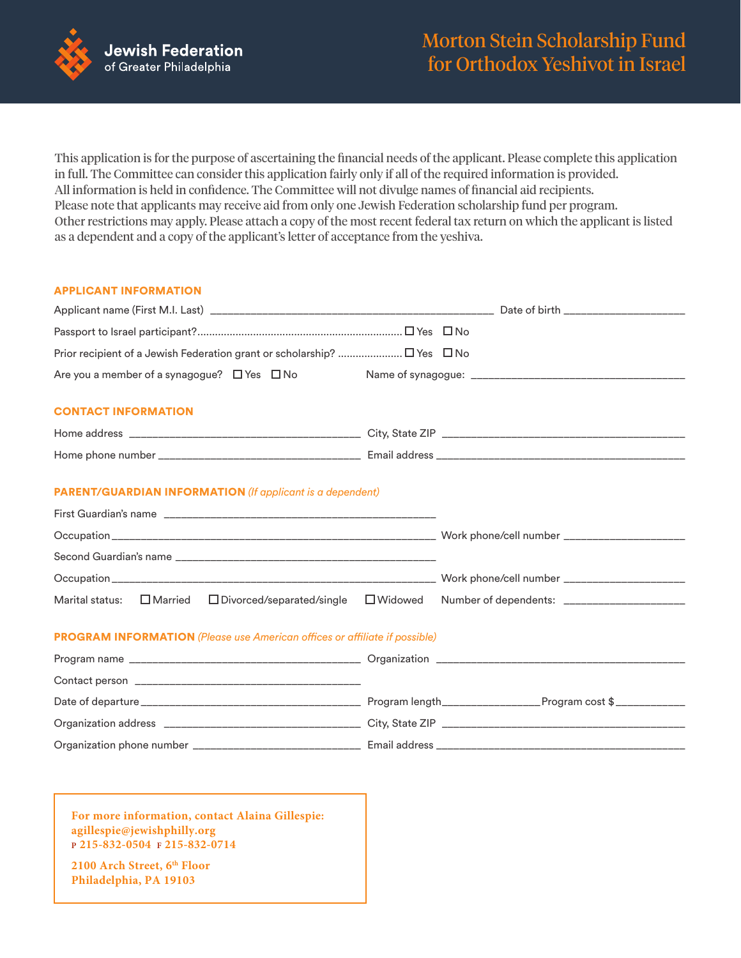

This application is for the purpose of ascertaining the financial needs of the applicant. Please complete this application in full. The Committee can consider this application fairly only if all of the required information is provided. All information is held in confidence. The Committee will not divulge names of financial aid recipients. Please note that applicants may receive aid from only one Jewish Federation scholarship fund per program. Other restrictions may apply. Please attach a copy of the most recent federal tax return on which the applicant is listed as a dependent and a copy of the applicant's letter of acceptance from the yeshiva.

## APPLICANT INFORMATION

| Are you a member of a synagogue? $\Box$ Yes $\Box$ No                             |                   |                                               |
|-----------------------------------------------------------------------------------|-------------------|-----------------------------------------------|
| <b>CONTACT INFORMATION</b>                                                        |                   |                                               |
|                                                                                   |                   |                                               |
|                                                                                   |                   |                                               |
| <b>PARENT/GUARDIAN INFORMATION</b> (If applicant is a dependent)                  |                   |                                               |
|                                                                                   |                   |                                               |
|                                                                                   |                   |                                               |
|                                                                                   |                   |                                               |
| Marital status:<br>$\Box$ Married $\Box$ Divorced/separated/single                | $\square$ Widowed | Number of dependents: _______________________ |
| <b>PROGRAM INFORMATION</b> (Please use American offices or affiliate if possible) |                   |                                               |
|                                                                                   |                   |                                               |
|                                                                                   |                   |                                               |
|                                                                                   |                   |                                               |
|                                                                                   |                   |                                               |
|                                                                                   |                   |                                               |

**For more information, contact Alaina Gillespie: agillespie@jewishphilly.org <sup>P</sup> 215-832-0504 <sup>F</sup> 215-832-0714**

**2100 Arch Street, 6th Floor Philadelphia, PA 19103**